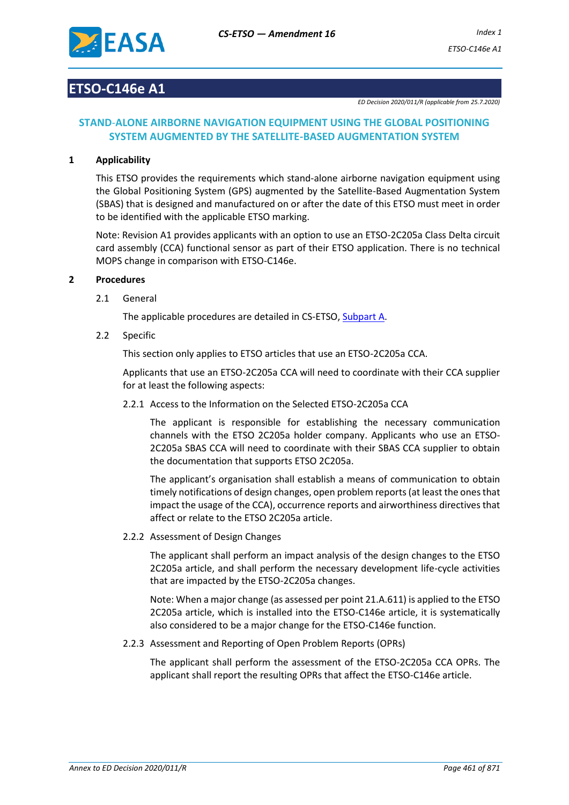

## **ETSO-C146e A1**

*ED Decision 2020/011/R (applicable from 25.7.2020)*

## **STAND**-**ALONE AIRBORNE NAVIGATION EQUIPMENT USING THE GLOBAL POSITIONING SYSTEM AUGMENTED BY THE SATELLITE-BASED AUGMENTATION SYSTEM**

#### **1 Applicability**

This ETSO provides the requirements which stand-alone airborne navigation equipment using the Global Positioning System (GPS) augmented by the Satellite-Based Augmentation System (SBAS) that is designed and manufactured on or after the date of this ETSO must meet in order to be identified with the applicable ETSO marking.

Note: Revision A1 provides applicants with an option to use an ETSO-2C205a Class Delta circuit card assembly (CCA) functional sensor as part of their ETSO application. There is no technical MOPS change in comparison with ETSO-C146e.

#### **2 Procedures**

2.1 General

The applicable procedures are detailed in CS-ETSO, Subpart A.

2.2 Specific

This section only applies to ETSO articles that use an ETSO-2C205a CCA.

Applicants that use an ETSO-2C205a CCA will need to coordinate with their CCA supplier for at least the following aspects:

2.2.1 Access to the Information on the Selected ETSO-2C205a CCA

The applicant is responsible for establishing the necessary communication channels with the ETSO 2C205a holder company. Applicants who use an ETSO-2C205a SBAS CCA will need to coordinate with their SBAS CCA supplier to obtain the documentation that supports ETSO 2C205a.

The applicant's organisation shall establish a means of communication to obtain timely notifications of design changes, open problem reports (at least the ones that impact the usage of the CCA), occurrence reports and airworthiness directives that affect or relate to the ETSO 2C205a article.

2.2.2 Assessment of Design Changes

The applicant shall perform an impact analysis of the design changes to the ETSO 2C205a article, and shall perform the necessary development life-cycle activities that are impacted by the ETSO-2C205a changes.

Note: When a major change (as assessed per point 21.A.611) is applied to the ETSO 2C205a article, which is installed into the ETSO-C146e article, it is systematically also considered to be a major change for the ETSO-C146e function.

2.2.3 Assessment and Reporting of Open Problem Reports (OPRs)

The applicant shall perform the assessment of the ETSO-2C205a CCA OPRs. The applicant shall report the resulting OPRs that affect the ETSO-C146e article.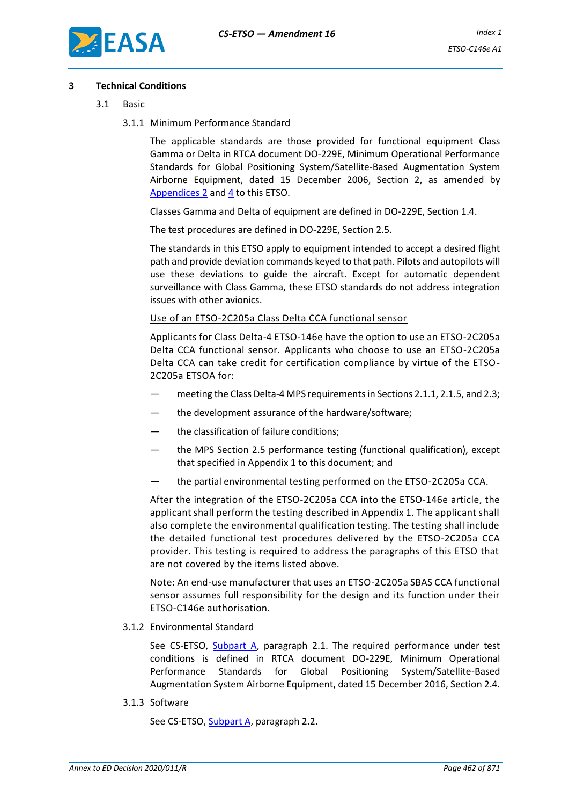

#### **3 Technical Conditions**

- 3.1 Basic
	- 3.1.1 Minimum Performance Standard

The applicable standards are those provided for functional equipment Class Gamma or Delta in RTCA document DO-229E, Minimum Operational Performance Standards for Global Positioning System/Satellite-Based Augmentation System Airborne Equipment, dated 15 December 2006, Section 2, as amended by [Appendices](#page-9-0) 2 and [4](#page-15-0) to this ETSO.

Classes Gamma and Delta of equipment are defined in DO-229E, Section 1.4.

The test procedures are defined in DO-229E, Section 2.5.

The standards in this ETSO apply to equipment intended to accept a desired flight path and provide deviation commands keyed to that path. Pilots and autopilots will use these deviations to guide the aircraft. Except for automatic dependent surveillance with Class Gamma, these ETSO standards do not address integration issues with other avionics.

#### Use of an ETSO-2C205a Class Delta CCA functional sensor

Applicants for Class Delta-4 ETSO-146e have the option to use an ETSO-2C205a Delta CCA functional sensor. Applicants who choose to use an ETSO-2C205a Delta CCA can take credit for certification compliance by virtue of the ETSO-2C205a ETSOA for:

- meeting the Class Delta-4 MPS requirements in Sections 2.1.1, 2.1.5, and 2.3;
- the development assurance of the hardware/software;
- the classification of failure conditions;
- the MPS Section 2.5 performance testing (functional qualification), except that specified in Appendix 1 to this document; and
- the partial environmental testing performed on the ETSO-2C205a CCA.

After the integration of the ETSO-2C205a CCA into the ETSO-146e article, the applicant shall perform the testing described in Appendix 1. The applicant shall also complete the environmental qualification testing. The testing shall include the detailed functional test procedures delivered by the ETSO-2C205a CCA provider. This testing is required to address the paragraphs of this ETSO that are not covered by the items listed above.

Note: An end-use manufacturer that uses an ETSO-2C205a SBAS CCA functional sensor assumes full responsibility for the design and its function under their ETSO-C146e authorisation.

3.1.2 Environmental Standard

See CS-ETSO, Subpart A, paragraph 2.1. The required performance under test conditions is defined in RTCA document DO-229E, Minimum Operational Performance Standards for Global Positioning System/Satellite-Based Augmentation System Airborne Equipment, dated 15 December 2016, Section 2.4.

3.1.3 Software

See CS-ETSO, Subpart A, paragraph 2.2.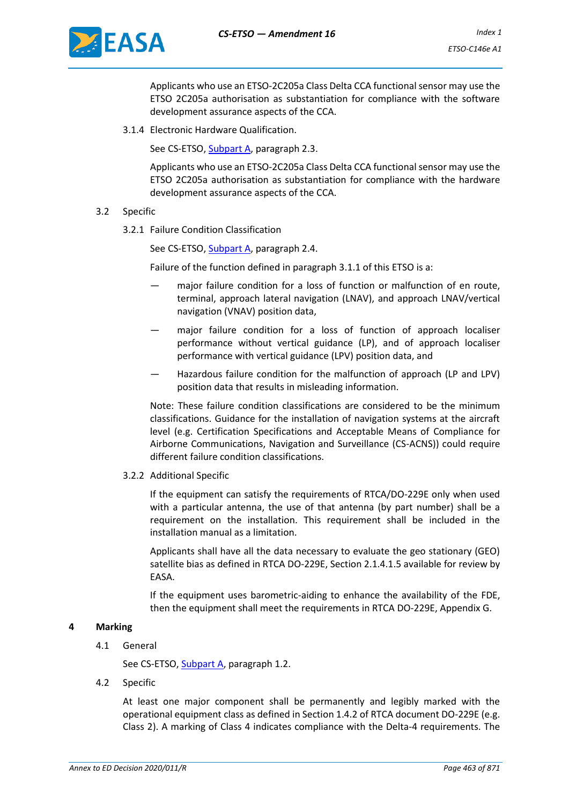

Applicants who use an ETSO-2C205a Class Delta CCA functional sensor may use the ETSO 2C205a authorisation as substantiation for compliance with the software development assurance aspects of the CCA.

3.1.4 Electronic Hardware Qualification.

See CS-ETSO, Subpart A, paragraph 2.3.

Applicants who use an ETSO-2C205a Class Delta CCA functional sensor may use the ETSO 2C205a authorisation as substantiation for compliance with the hardware development assurance aspects of the CCA.

## 3.2 Specific

3.2.1 Failure Condition Classification

See CS-ETSO, Subpart A, paragraph 2.4.

Failure of the function defined in paragraph 3.1.1 of this ETSO is a:

- major failure condition for a loss of function or malfunction of en route, terminal, approach lateral navigation (LNAV), and approach LNAV/vertical navigation (VNAV) position data,
- major failure condition for a loss of function of approach localiser performance without vertical guidance (LP), and of approach localiser performance with vertical guidance (LPV) position data, and
- Hazardous failure condition for the malfunction of approach (LP and LPV) position data that results in misleading information.

Note: These failure condition classifications are considered to be the minimum classifications. Guidance for the installation of navigation systems at the aircraft level (e.g. Certification Specifications and Acceptable Means of Compliance for Airborne Communications, Navigation and Surveillance (CS-ACNS)) could require different failure condition classifications.

3.2.2 Additional Specific

If the equipment can satisfy the requirements of RTCA/DO-229E only when used with a particular antenna, the use of that antenna (by part number) shall be a requirement on the installation. This requirement shall be included in the installation manual as a limitation.

Applicants shall have all the data necessary to evaluate the geo stationary (GEO) satellite bias as defined in RTCA DO-229E, Section 2.1.4.1.5 available for review by EASA.

If the equipment uses barometric-aiding to enhance the availability of the FDE, then the equipment shall meet the requirements in RTCA DO-229E, Appendix G.

#### **4 Marking**

4.1 General

See CS-ETSO, Subpart A, paragraph 1.2.

4.2 Specific

At least one major component shall be permanently and legibly marked with the operational equipment class as defined in Section 1.4.2 of RTCA document DO-229E (e.g. Class 2). A marking of Class 4 indicates compliance with the Delta-4 requirements. The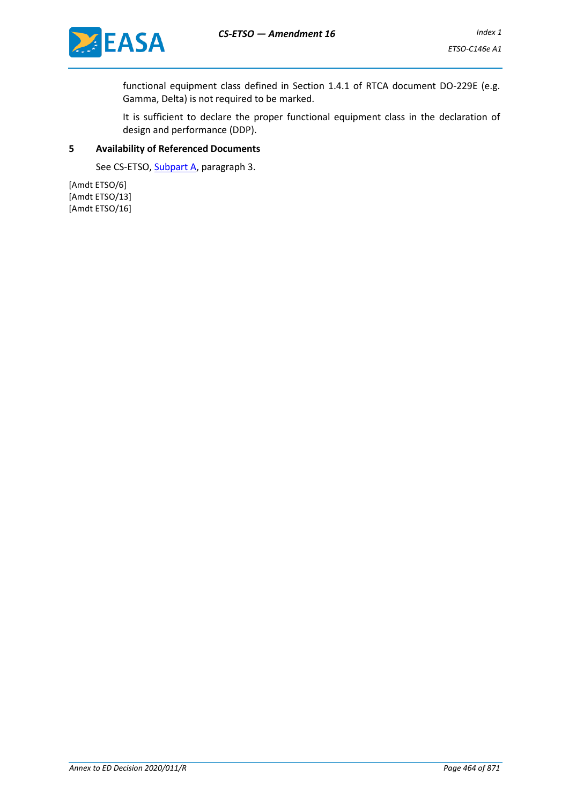

functional equipment class defined in Section 1.4.1 of RTCA document DO-229E (e.g. Gamma, Delta) is not required to be marked.

It is sufficient to declare the proper functional equipment class in the declaration of design and performance (DDP).

#### **5 Availability of Referenced Documents**

See CS-ETSO, Subpart A, paragraph 3.

[Amdt ETSO/6] [Amdt ETSO/13] [Amdt ETSO/16]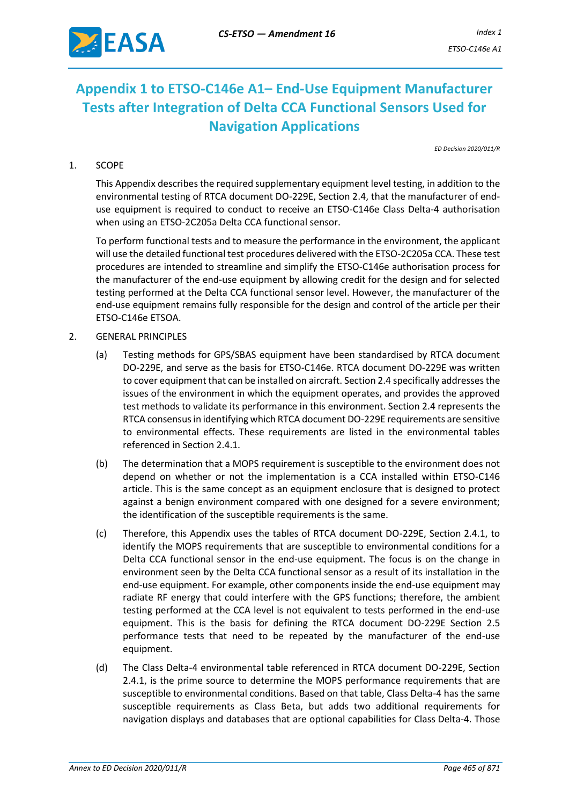

# **Appendix 1 to ETSO-C146e A1– End-Use Equipment Manufacturer Tests after Integration of Delta CCA Functional Sensors Used for Navigation Applications**

*ED Decision 2020/011/R*

## 1. SCOPE

This Appendix describes the required supplementary equipment level testing, in addition to the environmental testing of RTCA document DO-229E, Section 2.4, that the manufacturer of enduse equipment is required to conduct to receive an ETSO-C146e Class Delta-4 authorisation when using an ETSO-2C205a Delta CCA functional sensor.

To perform functional tests and to measure the performance in the environment, the applicant will use the detailed functional test procedures delivered with the ETSO-2C205a CCA. These test procedures are intended to streamline and simplify the ETSO-C146e authorisation process for the manufacturer of the end-use equipment by allowing credit for the design and for selected testing performed at the Delta CCA functional sensor level. However, the manufacturer of the end-use equipment remains fully responsible for the design and control of the article per their ETSO-C146e ETSOA.

## 2. GENERAL PRINCIPLES

- (a) Testing methods for GPS/SBAS equipment have been standardised by RTCA document DO-229E, and serve as the basis for ETSO-C146e. RTCA document DO-229E was written to cover equipment that can be installed on aircraft. Section 2.4 specifically addresses the issues of the environment in which the equipment operates, and provides the approved test methods to validate its performance in this environment. Section 2.4 represents the RTCA consensus in identifying which RTCA document DO-229E requirements are sensitive to environmental effects. These requirements are listed in the environmental tables referenced in Section 2.4.1.
- (b) The determination that a MOPS requirement is susceptible to the environment does not depend on whether or not the implementation is a CCA installed within ETSO-C146 article. This is the same concept as an equipment enclosure that is designed to protect against a benign environment compared with one designed for a severe environment; the identification of the susceptible requirements is the same.
- (c) Therefore, this Appendix uses the tables of RTCA document DO-229E, Section 2.4.1, to identify the MOPS requirements that are susceptible to environmental conditions for a Delta CCA functional sensor in the end-use equipment. The focus is on the change in environment seen by the Delta CCA functional sensor as a result of its installation in the end-use equipment. For example, other components inside the end-use equipment may radiate RF energy that could interfere with the GPS functions; therefore, the ambient testing performed at the CCA level is not equivalent to tests performed in the end-use equipment. This is the basis for defining the RTCA document DO-229E Section 2.5 performance tests that need to be repeated by the manufacturer of the end-use equipment.
- (d) The Class Delta-4 environmental table referenced in RTCA document DO-229E, Section 2.4.1, is the prime source to determine the MOPS performance requirements that are susceptible to environmental conditions. Based on that table, Class Delta-4 has the same susceptible requirements as Class Beta, but adds two additional requirements for navigation displays and databases that are optional capabilities for Class Delta-4. Those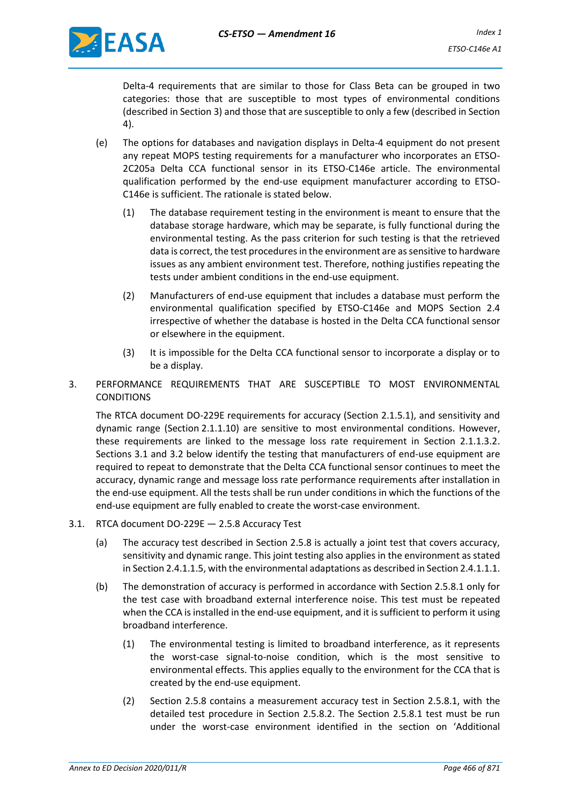

Delta-4 requirements that are similar to those for Class Beta can be grouped in two categories: those that are susceptible to most types of environmental conditions (described in Section 3) and those that are susceptible to only a few (described in Section 4).

- (e) The options for databases and navigation displays in Delta-4 equipment do not present any repeat MOPS testing requirements for a manufacturer who incorporates an ETSO-2C205a Delta CCA functional sensor in its ETSO-C146e article. The environmental qualification performed by the end-use equipment manufacturer according to ETSO-C146e is sufficient. The rationale is stated below.
	- (1) The database requirement testing in the environment is meant to ensure that the database storage hardware, which may be separate, is fully functional during the environmental testing. As the pass criterion for such testing is that the retrieved data is correct, the test procedures in the environment are as sensitive to hardware issues as any ambient environment test. Therefore, nothing justifies repeating the tests under ambient conditions in the end-use equipment.
	- (2) Manufacturers of end-use equipment that includes a database must perform the environmental qualification specified by ETSO-C146e and MOPS Section 2.4 irrespective of whether the database is hosted in the Delta CCA functional sensor or elsewhere in the equipment.
	- (3) It is impossible for the Delta CCA functional sensor to incorporate a display or to be a display.
- 3. PERFORMANCE REQUIREMENTS THAT ARE SUSCEPTIBLE TO MOST ENVIRONMENTAL CONDITIONS

The RTCA document DO-229E requirements for accuracy (Section 2.1.5.1), and sensitivity and dynamic range (Section 2.1.1.10) are sensitive to most environmental conditions. However, these requirements are linked to the message loss rate requirement in Section 2.1.1.3.2. Sections 3.1 and 3.2 below identify the testing that manufacturers of end-use equipment are required to repeat to demonstrate that the Delta CCA functional sensor continues to meet the accuracy, dynamic range and message loss rate performance requirements after installation in the end-use equipment. All the tests shall be run under conditions in which the functions of the end-use equipment are fully enabled to create the worst-case environment.

- 3.1. RTCA document DO-229E 2.5.8 Accuracy Test
	- (a) The accuracy test described in Section 2.5.8 is actually a joint test that covers accuracy, sensitivity and dynamic range. This joint testing also applies in the environment as stated in Section 2.4.1.1.5, with the environmental adaptations as described in Section 2.4.1.1.1.
	- (b) The demonstration of accuracy is performed in accordance with Section 2.5.8.1 only for the test case with broadband external interference noise. This test must be repeated when the CCA is installed in the end-use equipment, and it is sufficient to perform it using broadband interference.
		- (1) The environmental testing is limited to broadband interference, as it represents the worst-case signal-to-noise condition, which is the most sensitive to environmental effects. This applies equally to the environment for the CCA that is created by the end-use equipment.
		- (2) Section 2.5.8 contains a measurement accuracy test in Section 2.5.8.1, with the detailed test procedure in Section 2.5.8.2. The Section 2.5.8.1 test must be run under the worst-case environment identified in the section on 'Additional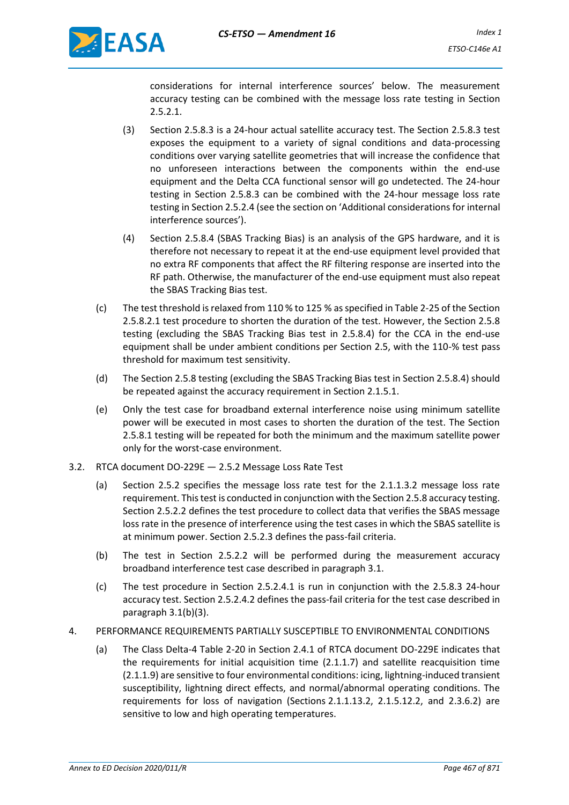

considerations for internal interference sources' below. The measurement accuracy testing can be combined with the message loss rate testing in Section 2.5.2.1.

- (3) Section 2.5.8.3 is a 24-hour actual satellite accuracy test. The Section 2.5.8.3 test exposes the equipment to a variety of signal conditions and data-processing conditions over varying satellite geometries that will increase the confidence that no unforeseen interactions between the components within the end-use equipment and the Delta CCA functional sensor will go undetected. The 24-hour testing in Section 2.5.8.3 can be combined with the 24-hour message loss rate testing in Section 2.5.2.4 (see the section on 'Additional considerations for internal interference sources').
- (4) Section 2.5.8.4 (SBAS Tracking Bias) is an analysis of the GPS hardware, and it is therefore not necessary to repeat it at the end-use equipment level provided that no extra RF components that affect the RF filtering response are inserted into the RF path. Otherwise, the manufacturer of the end-use equipment must also repeat the SBAS Tracking Bias test.
- (c) The test threshold is relaxed from 110 % to 125 % as specified in Table 2-25 of the Section 2.5.8.2.1 test procedure to shorten the duration of the test. However, the Section 2.5.8 testing (excluding the SBAS Tracking Bias test in 2.5.8.4) for the CCA in the end-use equipment shall be under ambient conditions per Section 2.5, with the 110-% test pass threshold for maximum test sensitivity.
- (d) The Section 2.5.8 testing (excluding the SBAS Tracking Bias test in Section 2.5.8.4) should be repeated against the accuracy requirement in Section 2.1.5.1.
- (e) Only the test case for broadband external interference noise using minimum satellite power will be executed in most cases to shorten the duration of the test. The Section 2.5.8.1 testing will be repeated for both the minimum and the maximum satellite power only for the worst-case environment.
- 3.2. RTCA document DO-229E 2.5.2 Message Loss Rate Test
	- (a) Section 2.5.2 specifies the message loss rate test for the 2.1.1.3.2 message loss rate requirement. This test is conducted in conjunction with the Section 2.5.8 accuracy testing. Section 2.5.2.2 defines the test procedure to collect data that verifies the SBAS message loss rate in the presence of interference using the test cases in which the SBAS satellite is at minimum power. Section 2.5.2.3 defines the pass-fail criteria.
	- (b) The test in Section 2.5.2.2 will be performed during the measurement accuracy broadband interference test case described in paragraph 3.1.
	- (c) The test procedure in Section 2.5.2.4.1 is run in conjunction with the 2.5.8.3 24-hour accuracy test. Section 2.5.2.4.2 defines the pass-fail criteria for the test case described in paragraph 3.1(b)(3).
- 4. PERFORMANCE REQUIREMENTS PARTIALLY SUSCEPTIBLE TO ENVIRONMENTAL CONDITIONS
	- (a) The Class Delta-4 Table 2-20 in Section 2.4.1 of RTCA document DO-229E indicates that the requirements for initial acquisition time (2.1.1.7) and satellite reacquisition time (2.1.1.9) are sensitive to four environmental conditions: icing, lightning-induced transient susceptibility, lightning direct effects, and normal/abnormal operating conditions. The requirements for loss of navigation (Sections 2.1.1.13.2, 2.1.5.12.2, and 2.3.6.2) are sensitive to low and high operating temperatures.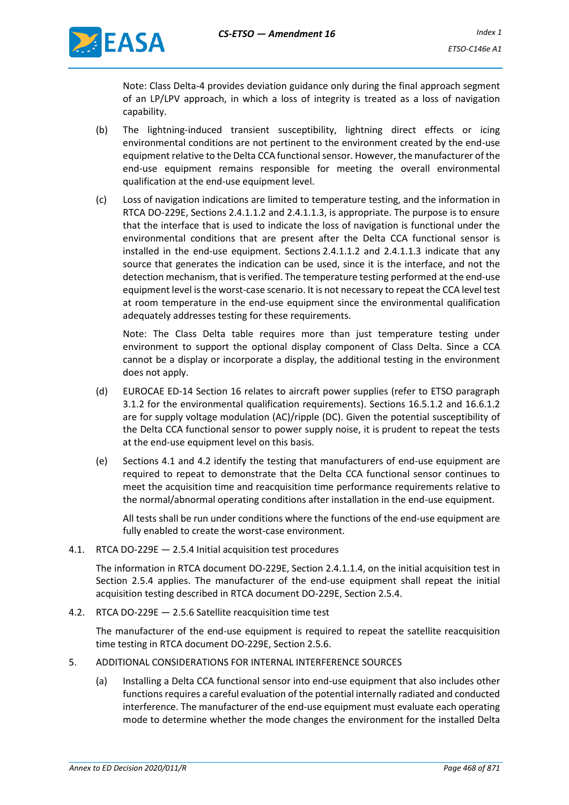

Note: Class Delta-4 provides deviation guidance only during the final approach segment of an LP/LPV approach, in which a loss of integrity is treated as a loss of navigation capability.

- (b) The lightning-induced transient susceptibility, lightning direct effects or icing environmental conditions are not pertinent to the environment created by the end-use equipment relative to the Delta CCA functional sensor. However, the manufacturer of the end-use equipment remains responsible for meeting the overall environmental qualification at the end-use equipment level.
- (c) Loss of navigation indications are limited to temperature testing, and the information in RTCA DO-229E, Sections 2.4.1.1.2 and 2.4.1.1.3, is appropriate. The purpose is to ensure that the interface that is used to indicate the loss of navigation is functional under the environmental conditions that are present after the Delta CCA functional sensor is installed in the end-use equipment. Sections 2.4.1.1.2 and 2.4.1.1.3 indicate that any source that generates the indication can be used, since it is the interface, and not the detection mechanism, that is verified. The temperature testing performed at the end-use equipment level is the worst-case scenario. It is not necessary to repeat the CCA level test at room temperature in the end-use equipment since the environmental qualification adequately addresses testing for these requirements.

Note: The Class Delta table requires more than just temperature testing under environment to support the optional display component of Class Delta. Since a CCA cannot be a display or incorporate a display, the additional testing in the environment does not apply.

- (d) EUROCAE ED-14 Section 16 relates to aircraft power supplies (refer to ETSO paragraph 3.1.2 for the environmental qualification requirements). Sections 16.5.1.2 and 16.6.1.2 are for supply voltage modulation (AC)/ripple (DC). Given the potential susceptibility of the Delta CCA functional sensor to power supply noise, it is prudent to repeat the tests at the end-use equipment level on this basis.
- (e) Sections 4.1 and 4.2 identify the testing that manufacturers of end-use equipment are required to repeat to demonstrate that the Delta CCA functional sensor continues to meet the acquisition time and reacquisition time performance requirements relative to the normal/abnormal operating conditions after installation in the end-use equipment.

All tests shall be run under conditions where the functions of the end-use equipment are fully enabled to create the worst-case environment.

4.1. RTCA DO-229E — 2.5.4 Initial acquisition test procedures

The information in RTCA document DO-229E, Section 2.4.1.1.4, on the initial acquisition test in Section 2.5.4 applies. The manufacturer of the end-use equipment shall repeat the initial acquisition testing described in RTCA document DO-229E, Section 2.5.4.

4.2. RTCA DO-229E — 2.5.6 Satellite reacquisition time test

The manufacturer of the end-use equipment is required to repeat the satellite reacquisition time testing in RTCA document DO-229E, Section 2.5.6.

- 5. ADDITIONAL CONSIDERATIONS FOR INTERNAL INTERFERENCE SOURCES
	- (a) Installing a Delta CCA functional sensor into end-use equipment that also includes other functions requires a careful evaluation of the potential internally radiated and conducted interference. The manufacturer of the end-use equipment must evaluate each operating mode to determine whether the mode changes the environment for the installed Delta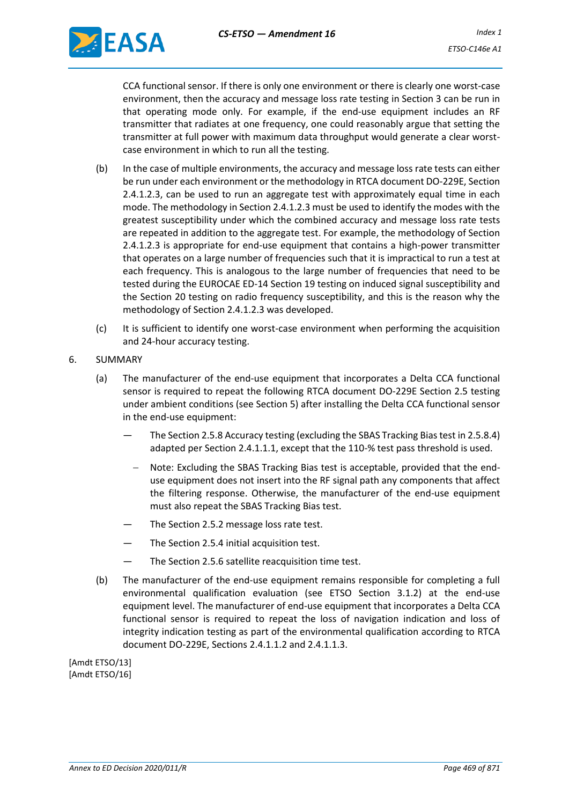

CCA functional sensor. If there is only one environment or there is clearly one worst-case environment, then the accuracy and message loss rate testing in Section 3 can be run in that operating mode only. For example, if the end-use equipment includes an RF transmitter that radiates at one frequency, one could reasonably argue that setting the transmitter at full power with maximum data throughput would generate a clear worstcase environment in which to run all the testing.

- (b) In the case of multiple environments, the accuracy and message loss rate tests can either be run under each environment or the methodology in RTCA document DO-229E, Section 2.4.1.2.3, can be used to run an aggregate test with approximately equal time in each mode. The methodology in Section 2.4.1.2.3 must be used to identify the modes with the greatest susceptibility under which the combined accuracy and message loss rate tests are repeated in addition to the aggregate test. For example, the methodology of Section 2.4.1.2.3 is appropriate for end-use equipment that contains a high-power transmitter that operates on a large number of frequencies such that it is impractical to run a test at each frequency. This is analogous to the large number of frequencies that need to be tested during the EUROCAE ED-14 Section 19 testing on induced signal susceptibility and the Section 20 testing on radio frequency susceptibility, and this is the reason why the methodology of Section 2.4.1.2.3 was developed.
- (c) It is sufficient to identify one worst-case environment when performing the acquisition and 24-hour accuracy testing.
- 6. SUMMARY
	- (a) The manufacturer of the end-use equipment that incorporates a Delta CCA functional sensor is required to repeat the following RTCA document DO-229E Section 2.5 testing under ambient conditions (see Section 5) after installing the Delta CCA functional sensor in the end-use equipment:
		- The Section 2.5.8 Accuracy testing (excluding the SBAS Tracking Bias test in 2.5.8.4) adapted per Section 2.4.1.1.1, except that the 110-% test pass threshold is used.
			- − Note: Excluding the SBAS Tracking Bias test is acceptable, provided that the enduse equipment does not insert into the RF signal path any components that affect the filtering response. Otherwise, the manufacturer of the end-use equipment must also repeat the SBAS Tracking Bias test.
		- The Section 2.5.2 message loss rate test.
		- The Section 2.5.4 initial acquisition test.
		- The Section 2.5.6 satellite reacquisition time test.
	- (b) The manufacturer of the end-use equipment remains responsible for completing a full environmental qualification evaluation (see ETSO Section 3.1.2) at the end-use equipment level. The manufacturer of end-use equipment that incorporates a Delta CCA functional sensor is required to repeat the loss of navigation indication and loss of integrity indication testing as part of the environmental qualification according to RTCA document DO-229E, Sections 2.4.1.1.2 and 2.4.1.1.3.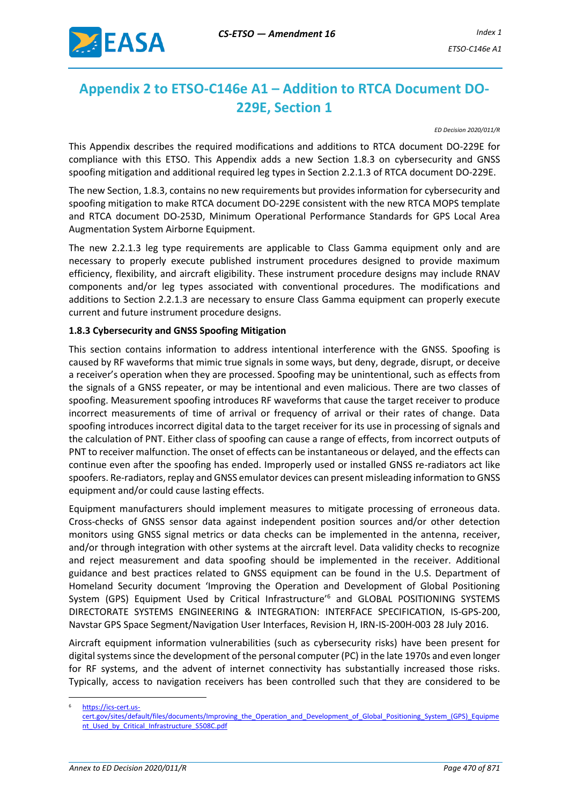

# <span id="page-9-0"></span>**Appendix 2 to ETSO-C146e A1 – Addition to RTCA Document DO-229E, Section 1**

*ED Decision 2020/011/R*

This Appendix describes the required modifications and additions to RTCA document DO-229E for compliance with this ETSO. This Appendix adds a new Section 1.8.3 on cybersecurity and GNSS spoofing mitigation and additional required leg types in Section 2.2.1.3 of RTCA document DO-229E.

The new Section, 1.8.3, contains no new requirements but provides information for cybersecurity and spoofing mitigation to make RTCA document DO-229E consistent with the new RTCA MOPS template and RTCA document DO-253D, Minimum Operational Performance Standards for GPS Local Area Augmentation System Airborne Equipment.

The new 2.2.1.3 leg type requirements are applicable to Class Gamma equipment only and are necessary to properly execute published instrument procedures designed to provide maximum efficiency, flexibility, and aircraft eligibility. These instrument procedure designs may include RNAV components and/or leg types associated with conventional procedures. The modifications and additions to Section 2.2.1.3 are necessary to ensure Class Gamma equipment can properly execute current and future instrument procedure designs.

#### **1.8.3 Cybersecurity and GNSS Spoofing Mitigation**

This section contains information to address intentional interference with the GNSS. Spoofing is caused by RF waveforms that mimic true signals in some ways, but deny, degrade, disrupt, or deceive a receiver's operation when they are processed. Spoofing may be unintentional, such as effects from the signals of a GNSS repeater, or may be intentional and even malicious. There are two classes of spoofing. Measurement spoofing introduces RF waveforms that cause the target receiver to produce incorrect measurements of time of arrival or frequency of arrival or their rates of change. Data spoofing introduces incorrect digital data to the target receiver for its use in processing of signals and the calculation of PNT. Either class of spoofing can cause a range of effects, from incorrect outputs of PNT to receiver malfunction. The onset of effects can be instantaneous or delayed, and the effects can continue even after the spoofing has ended. Improperly used or installed GNSS re-radiators act like spoofers. Re-radiators, replay and GNSS emulator devices can present misleading information to GNSS equipment and/or could cause lasting effects.

Equipment manufacturers should implement measures to mitigate processing of erroneous data. Cross-checks of GNSS sensor data against independent position sources and/or other detection monitors using GNSS signal metrics or data checks can be implemented in the antenna, receiver, and/or through integration with other systems at the aircraft level. Data validity checks to recognize and reject measurement and data spoofing should be implemented in the receiver. Additional guidance and best practices related to GNSS equipment can be found in the U.S. Department of Homeland Security document 'Improving the Operation and Development of Global Positioning System (GPS) Equipment Used by Critical Infrastructure'<sup>6</sup> and GLOBAL POSITIONING SYSTEMS DIRECTORATE SYSTEMS ENGINEERING & INTEGRATION: INTERFACE SPECIFICATION, IS-GPS-200, Navstar GPS Space Segment/Navigation User Interfaces, Revision H, IRN-IS-200H-003 28 July 2016.

Aircraft equipment information vulnerabilities (such as cybersecurity risks) have been present for digital systems since the development of the personal computer (PC) in the late 1970s and even longer for RF systems, and the advent of internet connectivity has substantially increased those risks. Typically, access to navigation receivers has been controlled such that they are considered to be

[https://ics-cert.us-](https://ics-cert.us-cert.gov/sites/default/files/documents/Improving_the_Operation_and_Development_of_Global_Positioning_System_(GPS)_Equipment_Used_by_Critical_Infrastructure_S508C.pdf)

[cert.gov/sites/default/files/documents/Improving\\_the\\_Operation\\_and\\_Development\\_of\\_Global\\_Positioning\\_System\\_\(GPS\)\\_Equipme](https://ics-cert.us-cert.gov/sites/default/files/documents/Improving_the_Operation_and_Development_of_Global_Positioning_System_(GPS)_Equipment_Used_by_Critical_Infrastructure_S508C.pdf) [nt\\_Used\\_by\\_Critical\\_Infrastructure\\_S508C.pdf](https://ics-cert.us-cert.gov/sites/default/files/documents/Improving_the_Operation_and_Development_of_Global_Positioning_System_(GPS)_Equipment_Used_by_Critical_Infrastructure_S508C.pdf)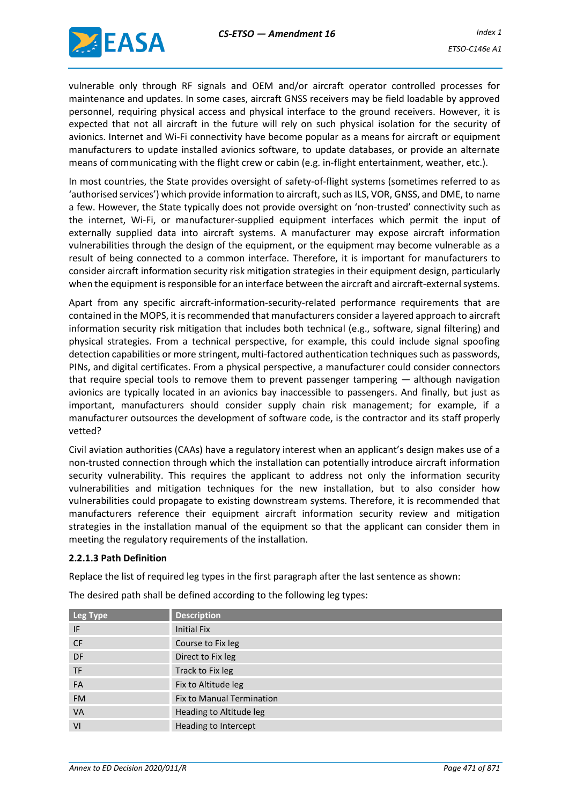

vulnerable only through RF signals and OEM and/or aircraft operator controlled processes for maintenance and updates. In some cases, aircraft GNSS receivers may be field loadable by approved personnel, requiring physical access and physical interface to the ground receivers. However, it is expected that not all aircraft in the future will rely on such physical isolation for the security of avionics. Internet and Wi-Fi connectivity have become popular as a means for aircraft or equipment manufacturers to update installed avionics software, to update databases, or provide an alternate means of communicating with the flight crew or cabin (e.g. in-flight entertainment, weather, etc.).

In most countries, the State provides oversight of safety-of-flight systems (sometimes referred to as 'authorised services') which provide information to aircraft, such as ILS, VOR, GNSS, and DME, to name a few. However, the State typically does not provide oversight on 'non-trusted' connectivity such as the internet, Wi-Fi, or manufacturer-supplied equipment interfaces which permit the input of externally supplied data into aircraft systems. A manufacturer may expose aircraft information vulnerabilities through the design of the equipment, or the equipment may become vulnerable as a result of being connected to a common interface. Therefore, it is important for manufacturers to consider aircraft information security risk mitigation strategies in their equipment design, particularly when the equipment is responsible for an interface between the aircraft and aircraft-external systems.

Apart from any specific aircraft-information-security-related performance requirements that are contained in the MOPS, it is recommended that manufacturers consider a layered approach to aircraft information security risk mitigation that includes both technical (e.g., software, signal filtering) and physical strategies. From a technical perspective, for example, this could include signal spoofing detection capabilities or more stringent, multi-factored authentication techniques such as passwords, PINs, and digital certificates. From a physical perspective, a manufacturer could consider connectors that require special tools to remove them to prevent passenger tampering — although navigation avionics are typically located in an avionics bay inaccessible to passengers. And finally, but just as important, manufacturers should consider supply chain risk management; for example, if a manufacturer outsources the development of software code, is the contractor and its staff properly vetted?

Civil aviation authorities (CAAs) have a regulatory interest when an applicant's design makes use of a non-trusted connection through which the installation can potentially introduce aircraft information security vulnerability. This requires the applicant to address not only the information security vulnerabilities and mitigation techniques for the new installation, but to also consider how vulnerabilities could propagate to existing downstream systems. Therefore, it is recommended that manufacturers reference their equipment aircraft information security review and mitigation strategies in the installation manual of the equipment so that the applicant can consider them in meeting the regulatory requirements of the installation.

#### **2.2.1.3 Path Definition**

Replace the list of required leg types in the first paragraph after the last sentence as shown:

The desired path shall be defined according to the following leg types:

| Leg Type  | <b>Description</b>               |
|-----------|----------------------------------|
| IF        | <b>Initial Fix</b>               |
| <b>CF</b> | Course to Fix leg                |
| DF        | Direct to Fix leg                |
| <b>TF</b> | Track to Fix leg                 |
| FA        | Fix to Altitude leg              |
| <b>FM</b> | <b>Fix to Manual Termination</b> |
| <b>VA</b> | Heading to Altitude leg          |
| VI        | Heading to Intercept             |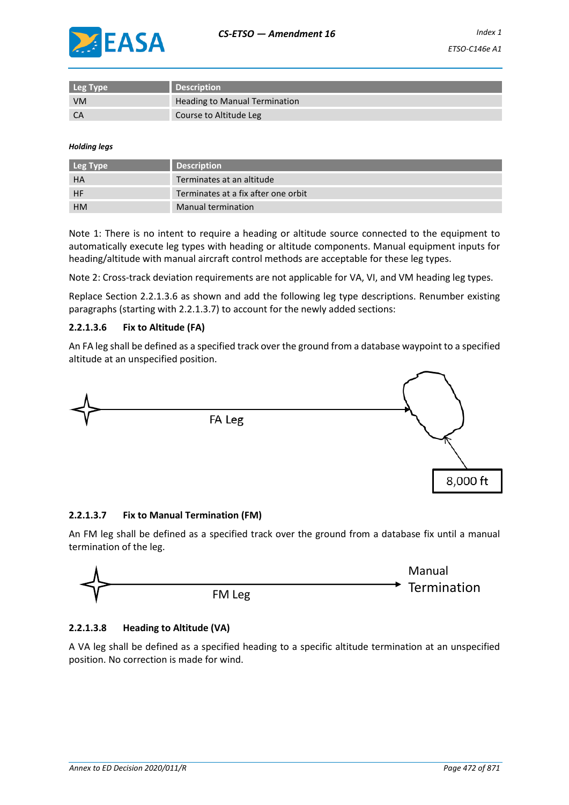

| Leg Type  | <b>Description</b>                   |
|-----------|--------------------------------------|
| <b>VM</b> | <b>Heading to Manual Termination</b> |
| <b>CA</b> | Course to Altitude Leg               |

#### *Holding legs*

| Leg Type  | <b>Description</b>                  |
|-----------|-------------------------------------|
| HA        | Terminates at an altitude           |
| HF        | Terminates at a fix after one orbit |
| <b>HM</b> | Manual termination                  |

Note 1: There is no intent to require a heading or altitude source connected to the equipment to automatically execute leg types with heading or altitude components. Manual equipment inputs for heading/altitude with manual aircraft control methods are acceptable for these leg types.

Note 2: Cross-track deviation requirements are not applicable for VA, VI, and VM heading leg types.

Replace Section 2.2.1.3.6 as shown and add the following leg type descriptions. Renumber existing paragraphs (starting with 2.2.1.3.7) to account for the newly added sections:

#### **2.2.1.3.6 Fix to Altitude (FA)**

An FA leg shall be defined as a specified track over the ground from a database waypoint to a specified altitude at an unspecified position.



#### **2.2.1.3.7 Fix to Manual Termination (FM)**

An FM leg shall be defined as a specified track over the ground from a database fix until a manual termination of the leg.



#### **2.2.1.3.8 Heading to Altitude (VA)**

A VA leg shall be defined as a specified heading to a specific altitude termination at an unspecified position. No correction is made for wind.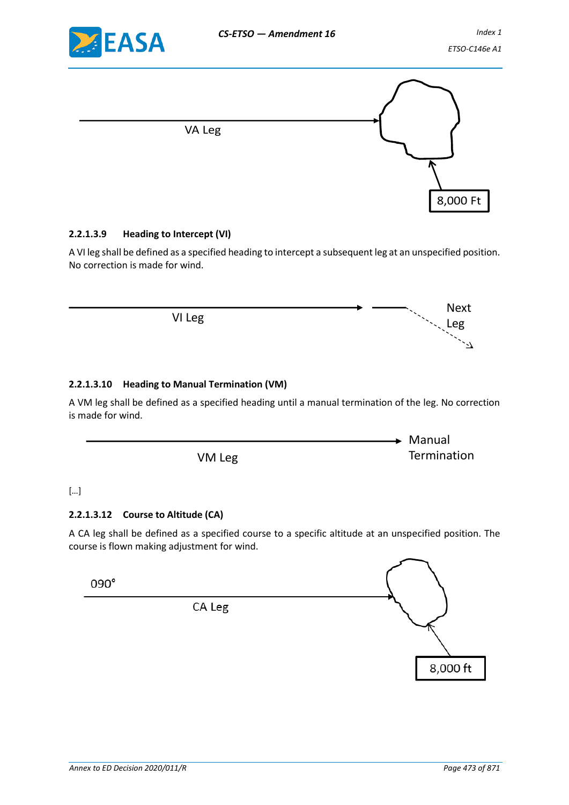

Next Leg

 $\mathbb{Z}^2$ 



## **2.2.1.3.9 Heading to Intercept (VI)**

A VI leg shall be defined as a specified heading to intercept a subsequent leg at an unspecified position. No correction is made for wind.

VI Leg

## **2.2.1.3.10 Heading to Manual Termination (VM)**

A VM leg shall be defined as a specified heading until a manual termination of the leg. No correction is made for wind.

> VM Leg  $\blacktriangleright$  Manual Termination

#### […]

#### **2.2.1.3.12 Course to Altitude (CA)**

A CA leg shall be defined as a specified course to a specific altitude at an unspecified position. The course is flown making adjustment for wind.

 $090^\circ$ 

CA Leg

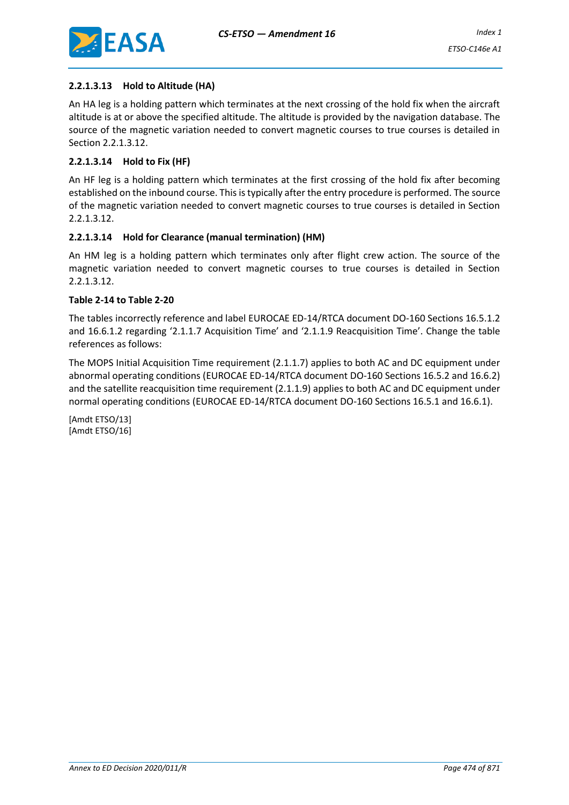

## **2.2.1.3.13 Hold to Altitude (HA)**

An HA leg is a holding pattern which terminates at the next crossing of the hold fix when the aircraft altitude is at or above the specified altitude. The altitude is provided by the navigation database. The source of the magnetic variation needed to convert magnetic courses to true courses is detailed in Section 2.2.1.3.12.

## **2.2.1.3.14 Hold to Fix (HF)**

An HF leg is a holding pattern which terminates at the first crossing of the hold fix after becoming established on the inbound course. This is typically after the entry procedure is performed. The source of the magnetic variation needed to convert magnetic courses to true courses is detailed in Section 2.2.1.3.12.

## **2.2.1.3.14 Hold for Clearance (manual termination) (HM)**

An HM leg is a holding pattern which terminates only after flight crew action. The source of the magnetic variation needed to convert magnetic courses to true courses is detailed in Section 2.2.1.3.12.

#### **Table 2-14 to Table 2-20**

The tables incorrectly reference and label EUROCAE ED-14/RTCA document DO-160 Sections 16.5.1.2 and 16.6.1.2 regarding '2.1.1.7 Acquisition Time' and '2.1.1.9 Reacquisition Time'. Change the table references as follows:

The MOPS Initial Acquisition Time requirement (2.1.1.7) applies to both AC and DC equipment under abnormal operating conditions (EUROCAE ED-14/RTCA document DO-160 Sections 16.5.2 and 16.6.2) and the satellite reacquisition time requirement (2.1.1.9) applies to both AC and DC equipment under normal operating conditions (EUROCAE ED-14/RTCA document DO-160 Sections 16.5.1 and 16.6.1).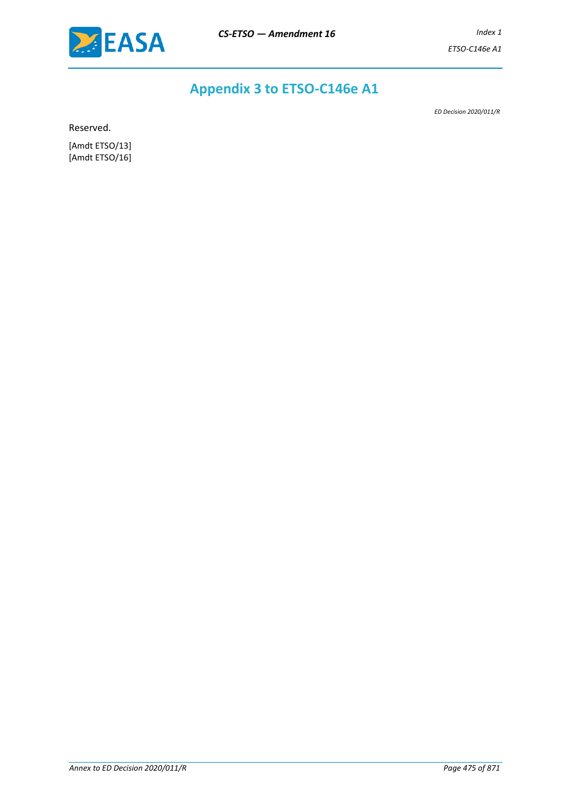

# **Appendix 3 to ETSO-C146e A1**

*ED Decision 2020/011/R*

Reserved.